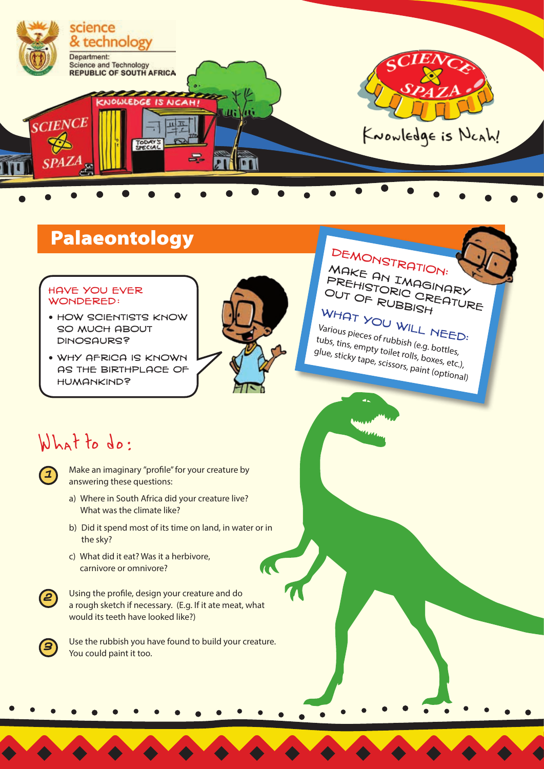

# Palaeontology DEMONSTRATION:

#### Have you ever WONDERED:

- **HOW SCIENTISTS KNOW** so much about dinosaurs?
- why Africa is known as the birthplace of humankind?



MAKE AN IMAGINARY<br>PREHISTORIC CREATUR<br>OUT OF RUBBISH PREHISTORIC CREATURE<br>OUT OF RUBBISH<br>WHOL

WHAT YOU WILL NEED:<br>Various pieces of rubbist : NEED: Various pieces of rubbish (e.g. bottles, tubs, tins, empty toilet rolls, boxes, etc.), glue, sticky tape, scissors, paint (optional)

## What to do:

Make an imaginary "profile" for your creature by answering these questions:

- a) Where in South Africa did your creature live? What was the climate like?
- b) Did it spend most of its time on land, in water or in the sky?
- c) What did it eat? Was it a herbivore, carnivore or omnivore?



Using the profile, design your creature and do a rough sketch if necessary. (E.g. If it ate meat, what would its teeth have looked like?)



Use the rubbish you have found to build your creature. You could paint it too.